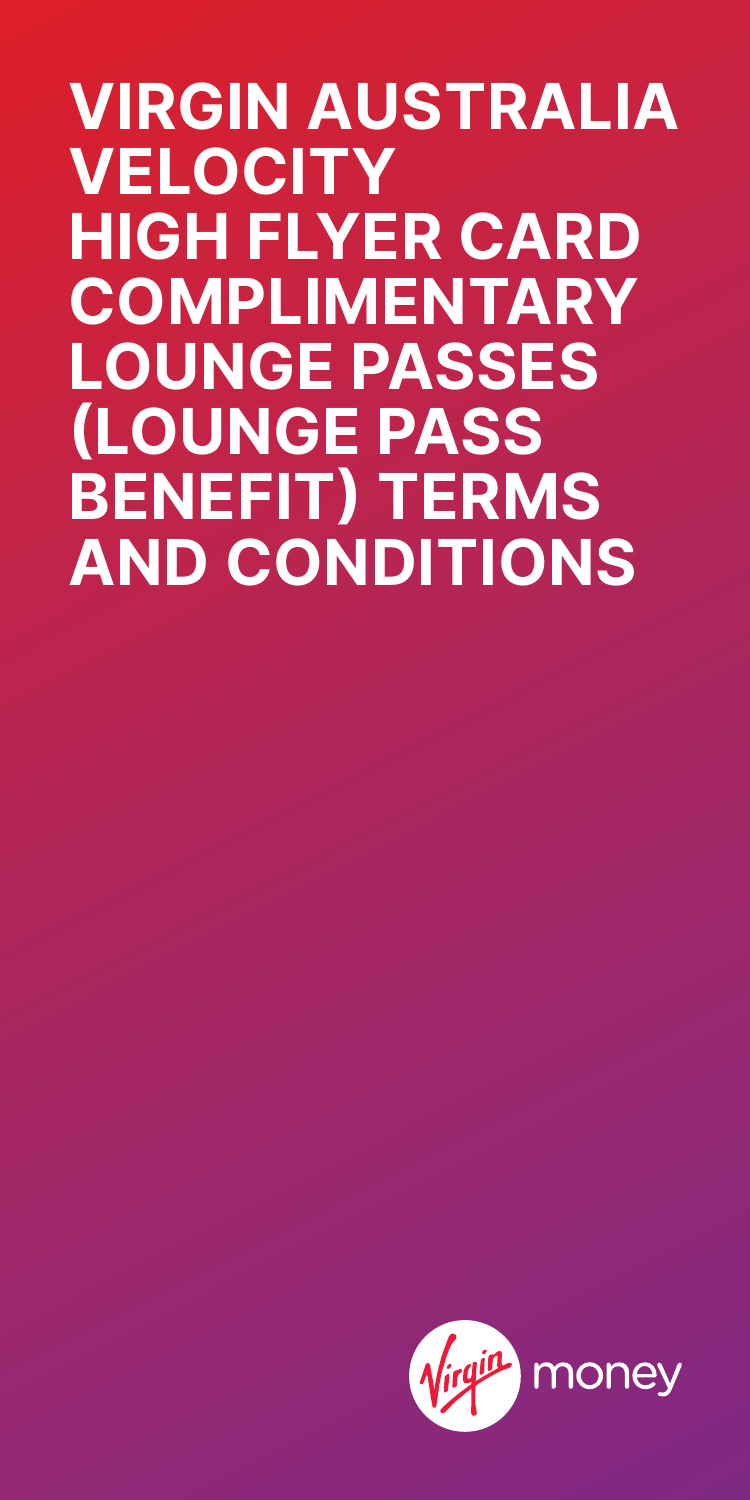**VIRGIN AUSTRALIA VELOCITY HIGH FLYER CARD COMPLIMENTARY LOUNGE PASSES (LOUNGE PASS BENEFIT) TERMS AND CONDITIONS**

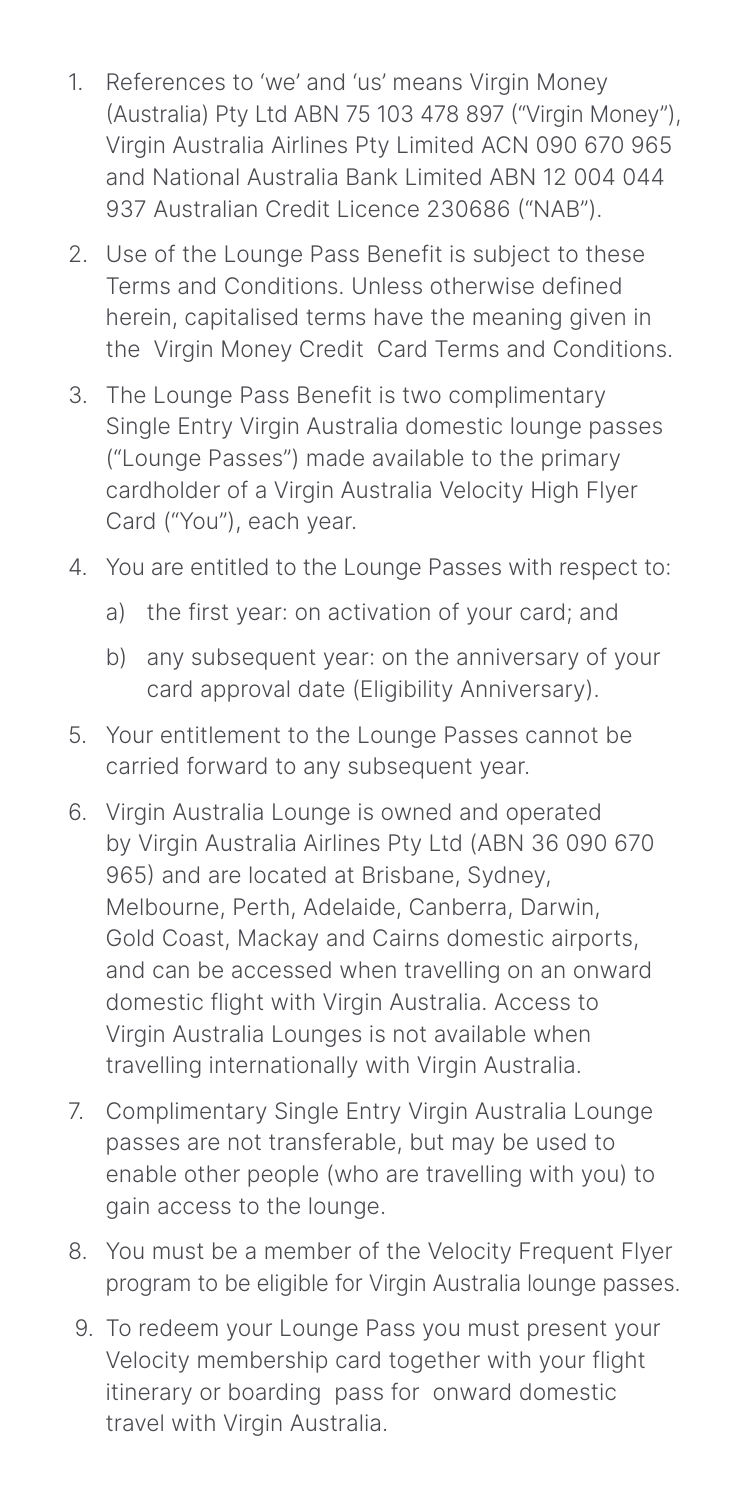- 1. References to 'we' and 'us' means Virgin Money (Australia) Pty Ltd ABN 75 103 478 897 ("Virgin Money"), Virgin Australia Airlines Pty Limited ACN 090 670 965 and National Australia Bank Limited ABN 12 004 044 937 Australian Credit Licence 230686 ("NAB").
- 2. Use of the Lounge Pass Benefit is subject to these Terms and Conditions. Unless otherwise defined herein, capitalised terms have the meaning given in the Virgin Money Credit Card Terms and Conditions.
- 3. The Lounge Pass Benefit is two complimentary Single Entry Virgin Australia domestic lounge passes ("Lounge Passes") made available to the primary cardholder of a Virgin Australia Velocity High Flyer Card ("You"), each year.
- 4. You are entitled to the Lounge Passes with respect to:
	- a) the first year: on activation of your card; and
	- b) any subsequent year: on the anniversary of your card approval date (Eligibility Anniversary).
- 5. Your entitlement to the Lounge Passes cannot be carried forward to any subsequent year.
- 6. Virgin Australia Lounge is owned and operated by Virgin Australia Airlines Pty Ltd (ABN 36 090 670 965) and are located at Brisbane, Sydney, Melbourne, Perth, Adelaide, Canberra, Darwin, Gold Coast, Mackay and Cairns domestic airports, and can be accessed when travelling on an onward domestic flight with Virgin Australia. Access to Virgin Australia Lounges is not available when travelling internationally with Virgin Australia.
- 7. Complimentary Single Entry Virgin Australia Lounge passes are not transferable, but may be used to enable other people (who are travelling with you) to gain access to the lounge.
- 8. You must be a member of the Velocity Frequent Flyer program to be eligible for Virgin Australia lounge passes.
- 9. To redeem your Lounge Pass you must present your Velocity membership card together with your flight itinerary or boarding pass for onward domestic travel with Virgin Australia.